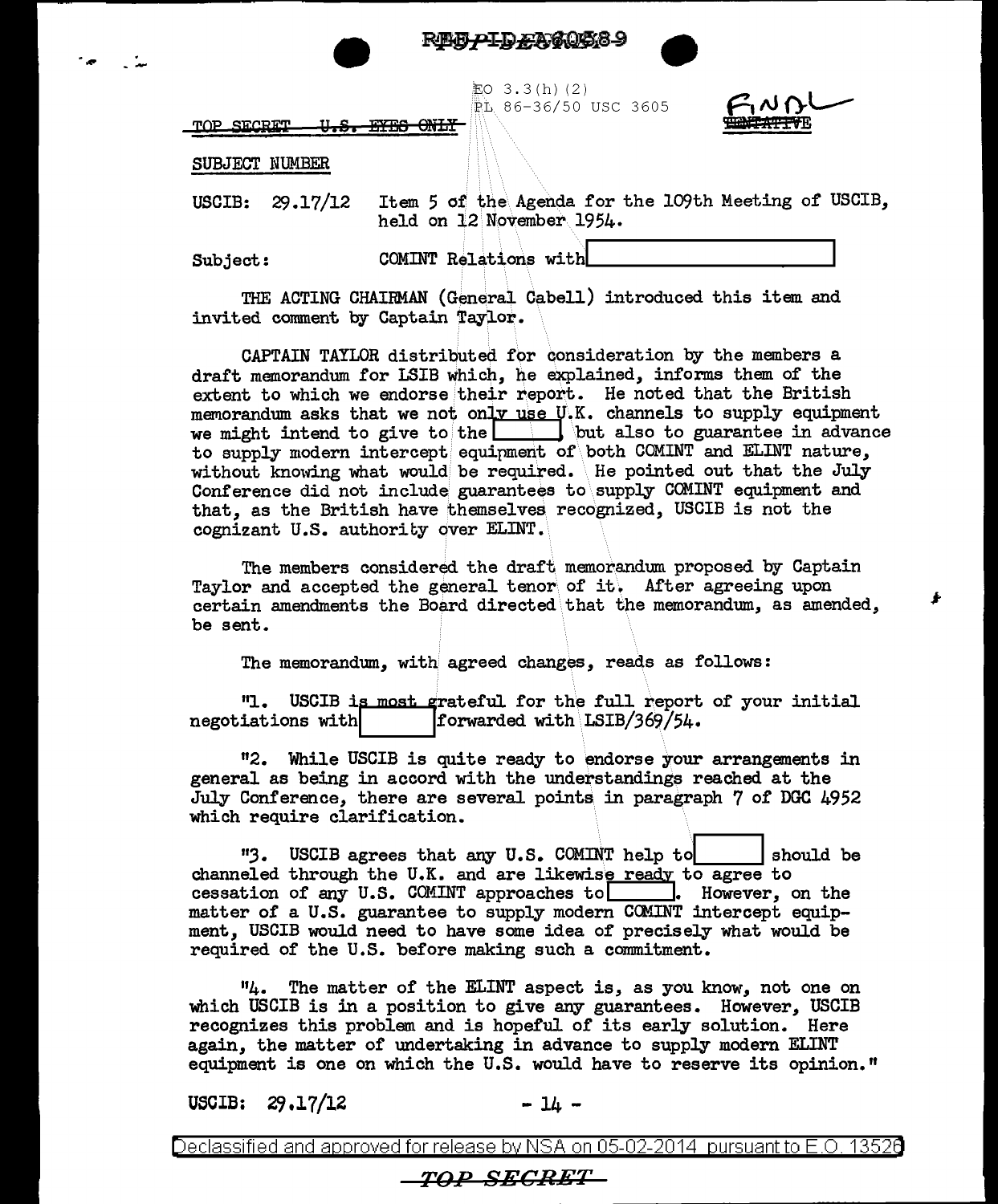





LO 3.3(h)(2) RL 86-36/50 USC 3605



TOP SECRET <del>EYES ONLY</del> <del>U.S.</del>

## SUBJECT NUMBER

USCIB: 29.17/12 Item 5 of the Agenda for the 109th Meeting of USCIB, held on 12 November 1954.

Subject:

COMINT Relations with

THE ACTING CHAIRMAN (General Cabell) introduced this item and invited comment by Captain Taylor.

CAPTAIN TAYLOR distributed for consideration by the members a draft memorandum for LSIB which, he explained, informs them of the extent to which we endorse their report. He noted that the British memorandum asks that we not only use U.K. channels to supply equipment we might intend to give to the  $\Box$  but also to guarantee in advance to supply modern intercept equipment of both COMINT and ELINT nature, without knowing what would be required. He pointed out that the July Conference did not include guarantees to supply COMINT equipment and that, as the British have themselves recognized. USCIB is not the cognizant U.S. authority over ELINT.

The members considered the draft memorandum proposed by Captain Taylor and accepted the general tenor of it. After agreeing upon certain amendments the Board directed that the memorandum, as amended, be sent.

The memorandum, with agreed changes, reads as follows:

**"1**. USCIB is most grateful for the full report of your initial forwarded with LSIB/369/54. negotiations with

"2. While USCIB is quite ready to endorse your arrangements in general as being in accord with the understandings reached at the July Conference, there are several points in paragraph 7 of DGC 4952 which require clarification.

"3. USCIB agrees that any U.S. COMINT help to should be channeled through the U.K. and are likewise ready to agree to cessation of any U.S. COMINT approaches to | Rowever, on the matter of a U.S. guarantee to supply modern COMINT intercept equipment, USCIB would need to have some idea of precisely what would be required of the U.S. before making such a commitment.

The matter of the ELINT aspect is, as you know, not one on 114. which USCIB is in a position to give any guarantees. However, USCIB recognizes this problem and is hopeful of its early solution. Here again, the matter of undertaking in advance to supply modern ELINT equipment is one on which the U.S. would have to reserve its opinion."

**USCIB:**  $29.17/12$   $-14 -$ 

Declassified and approved for release by NSA on 05-02-2014  $\,$  pursuant to E.O. 13526  $\,$ 

## *TOP SECRET*